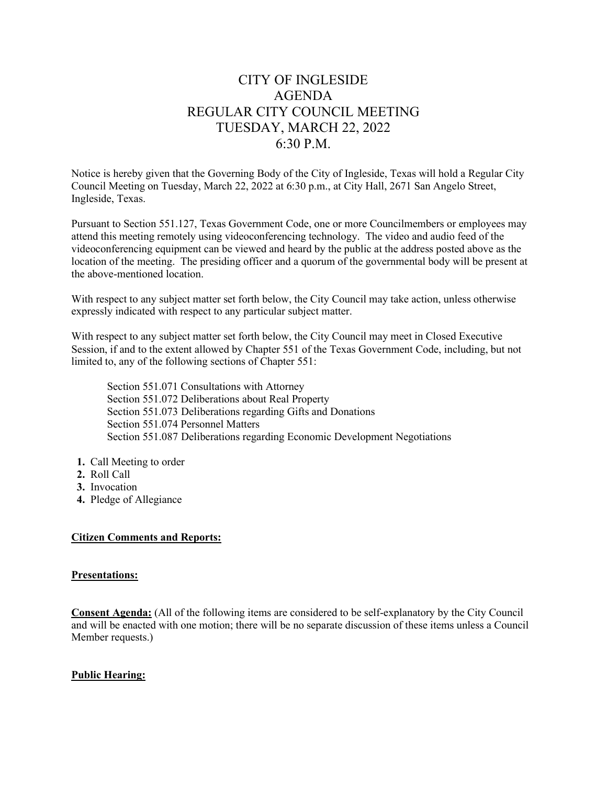# CITY OF INGLESIDE AGENDA REGULAR CITY COUNCIL MEETING TUESDAY, MARCH 22, 2022 6:30 P.M.

Notice is hereby given that the Governing Body of the City of Ingleside, Texas will hold a Regular City Council Meeting on Tuesday, March 22, 2022 at 6:30 p.m., at City Hall, 2671 San Angelo Street, Ingleside, Texas.

Pursuant to Section 551.127, Texas Government Code, one or more Councilmembers or employees may attend this meeting remotely using videoconferencing technology. The video and audio feed of the videoconferencing equipment can be viewed and heard by the public at the address posted above as the location of the meeting. The presiding officer and a quorum of the governmental body will be present at the above-mentioned location.

With respect to any subject matter set forth below, the City Council may take action, unless otherwise expressly indicated with respect to any particular subject matter.

With respect to any subject matter set forth below, the City Council may meet in Closed Executive Session, if and to the extent allowed by Chapter 551 of the Texas Government Code, including, but not limited to, any of the following sections of Chapter 551:

Section 551.071 Consultations with Attorney Section 551.072 Deliberations about Real Property Section 551.073 Deliberations regarding Gifts and Donations Section 551.074 Personnel Matters Section 551.087 Deliberations regarding Economic Development Negotiations

- **1.** Call Meeting to order
- **2.** Roll Call
- **3.** Invocation
- **4.** Pledge of Allegiance

#### **Citizen Comments and Reports:**

#### **Presentations:**

**Consent Agenda:** (All of the following items are considered to be self-explanatory by the City Council and will be enacted with one motion; there will be no separate discussion of these items unless a Council Member requests.)

#### **Public Hearing:**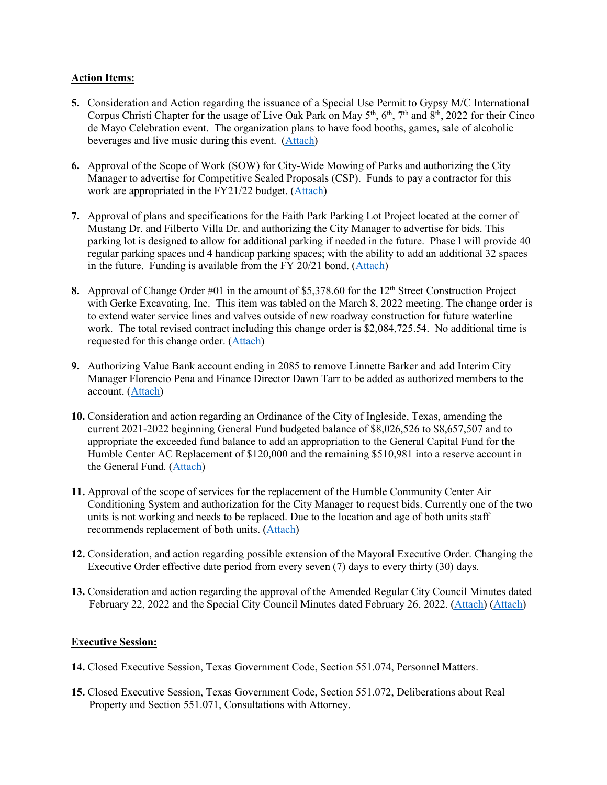#### **Action Items:**

- **5.** Consideration and Action regarding the issuance of a Special Use Permit to Gypsy M/C International Corpus Christi Chapter for the usage of Live Oak Park on May  $5<sup>th</sup>$ ,  $6<sup>th</sup>$ ,  $7<sup>th</sup>$  and  $8<sup>th</sup>$ , 2022 for their Cinco de Mayo Celebration event. The organization plans to have food booths, games, sale of alcoholic beverages and live music during this event. [\(Attach\)](/DocumentCenter/View/781/5-Gypsy-PDF)
- **6.** Approval of the Scope of Work (SOW) for City-Wide Mowing of Parks and authorizing the City Manager to advertise for Competitive Sealed Proposals (CSP). Funds to pay a contractor for this work are appropriated in the FY21/22 budget. [\(Attach\)](/DocumentCenter/View/782/6-Park-Mowing-PDF)
- **7.** Approval of plans and specifications for the Faith Park Parking Lot Project located at the corner of Mustang Dr. and Filberto Villa Dr. and authorizing the City Manager to advertise for bids. This parking lot is designed to allow for additional parking if needed in the future. Phase l will provide 40 regular parking spaces and 4 handicap parking spaces; with the ability to add an additional 32 spaces in the future. Funding is available from the FY 20/21 bond. [\(Attach\)](/DocumentCenter/View/783/7-Parking-Lot-FP-PDF)
- **8.** Approval of Change Order #01 in the amount of \$5,378.60 for the 12<sup>th</sup> Street Construction Project with Gerke Excavating, Inc. This item was tabled on the March 8, 2022 meeting. The change order is to extend water service lines and valves outside of new roadway construction for future waterline work. The total revised contract including this change order is \$2,084,725.54. No additional time is requested for this change order. [\(Attach\)](/DocumentCenter/View/784/8-12th-Street-PDF)
- **9.** Authorizing Value Bank account ending in 2085 to remove Linnette Barker and add Interim City Manager Florencio Pena and Finance Director Dawn Tarr to be added as authorized members to the account. [\(Attach\)](/DocumentCenter/View/785/9-Bank-PDF)
- **10.** Consideration and action regarding an Ordinance of the City of Ingleside, Texas, amending the current 2021-2022 beginning General Fund budgeted balance of \$8,026,526 to \$8,657,507 and to appropriate the exceeded fund balance to add an appropriation to the General Capital Fund for the Humble Center AC Replacement of \$120,000 and the remaining \$510,981 into a reserve account in the General Fund. [\(Attach\)](/DocumentCenter/View/786/10-Ord-Budget-Amd-PDF)
- **11.** Approval of the scope of services for the replacement of the Humble Community Center Air Conditioning System and authorization for the City Manager to request bids. Currently one of the two units is not working and needs to be replaced. Due to the location and age of both units staff recommends replacement of both units. [\(Attach\)](/DocumentCenter/View/787/11-HC-AC-PDF)
- **12.** Consideration, and action regarding possible extension of the Mayoral Executive Order. Changing the Executive Order effective date period from every seven (7) days to every thirty (30) days.
- **13.** Consideration and action regarding the approval of the Amended Regular City Council Minutes dated February 22, 2022 and the Special City Council Minutes dated February 26, 2022. [\(Attach\)](/DocumentCenter/View/788/13-Mins-Amd-02222022-PDF) [\(Attach\)](/DocumentCenter/View/789/13-Mins-Spcl-02262022-PDF)

## **Executive Session:**

- **14.** Closed Executive Session, Texas Government Code, Section 551.074, Personnel Matters.
- **15.** Closed Executive Session, Texas Government Code, Section 551.072, Deliberations about Real Property and Section 551.071, Consultations with Attorney.